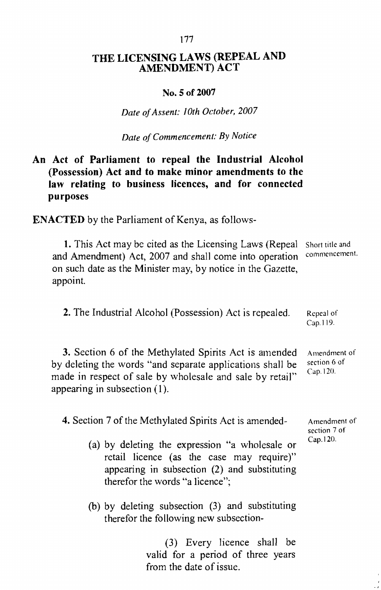# THE LICENSING LAWS (REPEAL AND AMENDMENT) ACT

#### No. 5 of 2007

*Date ofAssent: 10th October, 2007*

*Date ofCommencement: By Notice*

# An Act of Parliament to repeal the Industrial Alcohol (Possession) Act and to make minor amendments to the law relating to business licences, and for connected purposes

ENACTED by the Parliament of Kenya, as follows-

1. This Act may be cited as the Licensing Laws (Repeal and Amendment) Act, 2007 and shall come into operation on such date as the Minister may, by notice in the Gazette, appoint. Short title and commcnccment.

2. The Industrial Alcohol (Possession) Act is repealed. Repeal of Cap. 119.

3. Section 6 of the Methylated Spirits Act is amended by deleting the words "and separate applications shall be made in respect of sale by wholesale and sale by retail" appearing in subsection (I). Amendment of section 6 of Cap. 120.

4. Section 7 of the Methylated Spirits Act is amended-

- Amendment of section 7 of Cap.120.
- (a) by deleting the expression "a wholesale or retail licence (as the case may require)" appearing in subsection (2) and substituting therefor the words "a licence";
- (b) by deleting subsection (3) and substituting therefor the following new subsection-

(3) Every licence shall be valid for a period of three years from the date of issue.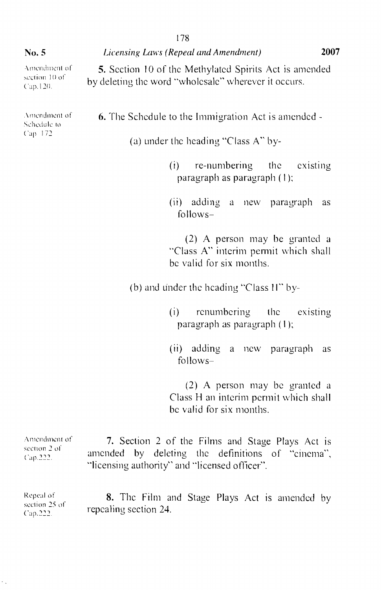Amendment of section 10 of Cup. 12(),

Amendment of Schedule to Cap 172

5. Section 10 of the Methylated Spirits Act is amended by deleting the word "wholesale" wherever it occurs.

6. The Schedule to the Immigration Act is amended -

(a) under the heading "Class A" by-

(i) re-numbering the existing paragraph as paragraph ( I);

(ii) adding a new paragraph as follows-

(2) A person may be granted a "Class A" interim permit which shall be valid for six months.

(b) and under the heading "Class  $11$ " by-

(i) renumbering the existing paragraph as paragraph (1 );

(ii) adding a new paragraph as follows-

(2) A person may be granted a Class H an interim permit which shall be valid for six months.

Amendment of section 2 of ('ap,222. 7. Section 2 of the Films and Stage Plays Act is amended by deleting the definitions or "cinema", "licensing authority" and "licensed officer".

Repeal of section  $25$  of Cap.222 8. The Film and Stage Plays Act is amended by repealing section 24.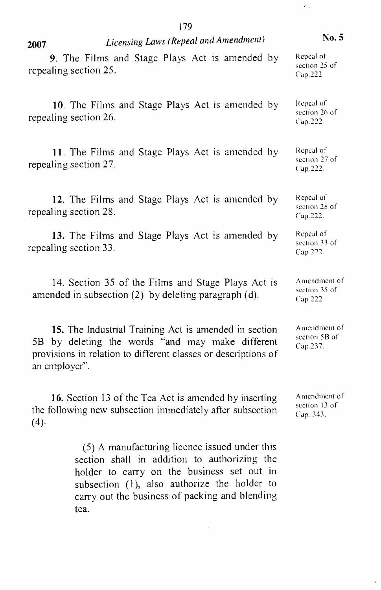| 2007   | Licensing Laws (Repeal and Amendment)                                                                                                                                                     | No. 5                                      |
|--------|-------------------------------------------------------------------------------------------------------------------------------------------------------------------------------------------|--------------------------------------------|
|        | 9. The Films and Stage Plays Act is amended by<br>repealing section 25.                                                                                                                   | Repeal of<br>section 25 of<br>Cap.222.     |
|        | 10. The Films and Stage Plays Act is amended by<br>repealing section 26.                                                                                                                  | Repeal of<br>section 26 of<br>Cap.222.     |
|        | 11. The Films and Stage Plays Act is amended by<br>repealing section 27.                                                                                                                  | Repeal of<br>section 27 of<br>Cap. 222.    |
|        | 12. The Films and Stage Plays Act is amended by<br>repealing section 28.                                                                                                                  | Repeal of<br>section 28 of<br>Cap.222.     |
|        | 13. The Films and Stage Plays Act is amended by<br>repealing section 33.                                                                                                                  | Repeal of<br>section 33 of<br>Cap.222.     |
|        | 14. Section 35 of the Films and Stage Plays Act is<br>amended in subsection (2) by deleting paragraph (d).                                                                                | Amendment of<br>section 35 of<br>Cap.222   |
| 5B     | 15. The Industrial Training Act is amended in section<br>by deleting the words "and may make different<br>provisions in relation to different classes or descriptions of<br>an employer". | Amendment of<br>section 5B of<br>Cap.237.  |
| $(4)-$ | 16. Section 13 of the Tea Act is amended by inserting<br>the following new subsection immediately after subsection                                                                        | Amendment of<br>section 13 of<br>Cap. 343. |

(5) A manufacturing licence issued under this section shall in addition to authorizing the holder to carry on the business set out in subsection  $(1)$ , also authorize the holder to carry out the business of packing and blending tea.

 $\ddot{\phantom{0}}$ 

179

 $\hat{\mathcal{E}}_{\text{eff}}$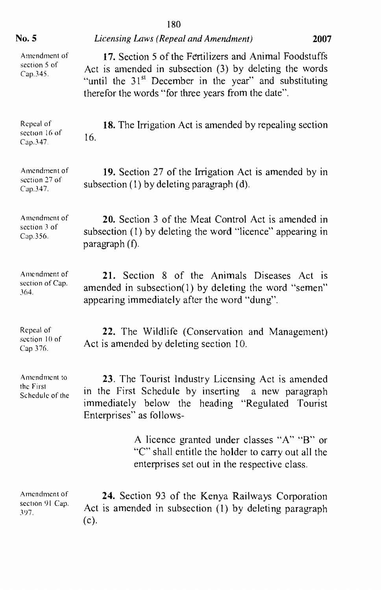| No. 5                                        | Licensing Laws (Repeal and Amendment)                                                                                                                                                                                                         | 2007 |
|----------------------------------------------|-----------------------------------------------------------------------------------------------------------------------------------------------------------------------------------------------------------------------------------------------|------|
| Amendment of<br>section 5 of<br>Cap.345.     | 17. Section 5 of the Fertilizers and Animal Foodstuffs<br>Act is amended in subsection (3) by deleting the words<br>"until the 31 <sup>st</sup> December in the year" and substituting<br>therefor the words "for three years from the date". |      |
| Repeal of<br>section 16 of<br>Cap.347.       | 18. The Irrigation Act is amended by repealing section<br>16.                                                                                                                                                                                 |      |
| Amendment of<br>section 27 of<br>Cap.347.    | 19. Section 27 of the Irrigation Act is amended by in<br>subsection (1) by deleting paragraph (d).                                                                                                                                            |      |
| Amendment of<br>section 3 of<br>Cap.356.     | 20. Section 3 of the Meat Control Act is amended in<br>subsection (1) by deleting the word "licence" appearing in<br>paragraph (f).                                                                                                           |      |
| Amendment of<br>section of Cap.<br>364.      | 21. Section 8 of the Animals Diseases Act is<br>amended in subsection(1) by deleting the word "semen"<br>appearing immediately after the word "dung".                                                                                         |      |
| Repeal of<br>section 10 of<br>Cap 376.       | 22. The Wildlife (Conservation and Management)<br>Act is amended by deleting section 10.                                                                                                                                                      |      |
| Amendment to<br>the First<br>Schedule of the | 23. The Tourist Industry Licensing Act is amended<br>in the First Schedule by inserting<br>a new paragraph<br>immediately below the heading "Regulated Tourist<br>Enterprises" as follows-                                                    |      |
|                                              | A licence granted under classes "A" "B" or<br>"C" shall entitle the holder to carry out all the<br>enterprises set out in the respective class.                                                                                               |      |
| Amendment of<br>section 91 Cap.<br>397.      | 24. Section 93 of the Kenya Railways Corporation<br>Act is amended in subsection (1) by deleting paragraph<br>$(c)$ .                                                                                                                         |      |

# 180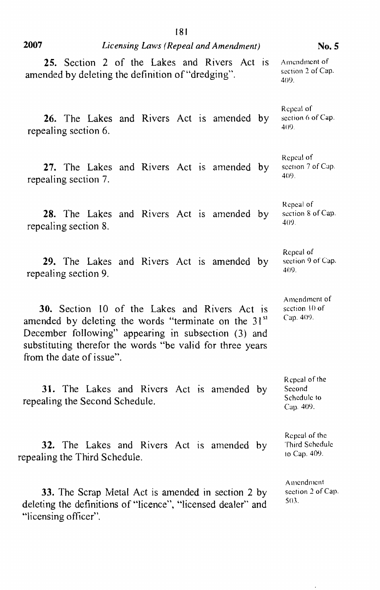| 2007<br>Licensing Laws (Repeal and Amendment)                                                                                                                                                                                                                            | No. 5                                               |
|--------------------------------------------------------------------------------------------------------------------------------------------------------------------------------------------------------------------------------------------------------------------------|-----------------------------------------------------|
| 25. Section 2 of the Lakes and Rivers Act is<br>amended by deleting the definition of "dredging".                                                                                                                                                                        | Amendment of<br>section 2 of Cap.<br>409.           |
| 26. The Lakes and Rivers Act is amended by<br>repealing section 6.                                                                                                                                                                                                       | Repeal of<br>section 6 of Cap.<br>409.              |
| 27. The Lakes and Rivers Act is amended by<br>repealing section 7.                                                                                                                                                                                                       | Repeal of<br>section 7 of Cap.<br>409.              |
| 28. The Lakes and Rivers Act is amended by<br>repealing section 8.                                                                                                                                                                                                       | Repeal of<br>section 8 of Cap.<br>409.              |
| 29. The Lakes and Rivers Act is amended by<br>repealing section 9.                                                                                                                                                                                                       | Repeal of<br>section 9 of Cap.<br>409.              |
| <b>30.</b> Section 10 of the Lakes and Rivers Act is<br>amended by deleting the words "terminate on the 31 <sup>st</sup><br>December following" appearing in subsection (3) and<br>substituting therefor the words "be valid for three years<br>from the date of issue". | Amendment of<br>section 10 of<br>Cap. 409.          |
| 31. The Lakes and Rivers Act is amended by<br>repealing the Second Schedule.                                                                                                                                                                                             | Repeal of the<br>Second<br>Schedule to<br>Cap. 409. |
| 32. The Lakes and Rivers Act is amended by<br>repealing the Third Schedule.                                                                                                                                                                                              | Repeal of the<br>Third Schedule<br>to Cap. 409.     |
| 33. The Scrap Metal Act is amended in section 2 by<br>deleting the definitions of "licence", "licensed dealer" and<br>"licensing officer".                                                                                                                               | Amendment<br>section 2 of Cap.<br>503.              |

 $\epsilon$ 

181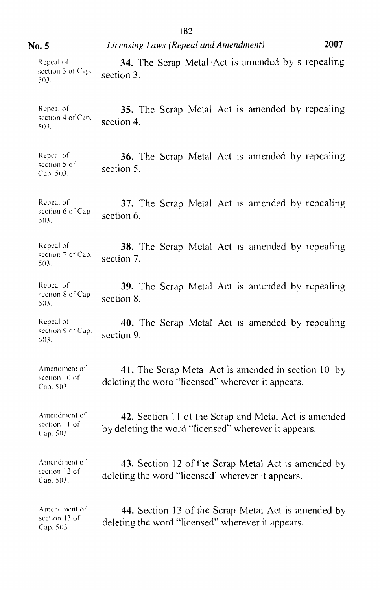|                                            | 182                                                                                                          |
|--------------------------------------------|--------------------------------------------------------------------------------------------------------------|
| No. 5                                      | 2007<br>Licensing Laws (Repeal and Amendment)                                                                |
| Repeal of<br>section 3 of Cap.<br>503.     | 34. The Scrap Metal Act is amended by s repealing<br>section 3.                                              |
| Repeal of<br>section 4 of Cap.<br>503.     | 35. The Scrap Metal Act is amended by repealing<br>section 4.                                                |
| Repeal of<br>section 5 of<br>Cap. 503.     | 36. The Scrap Metal Act is amended by repealing<br>section 5.                                                |
| Repeal of<br>section 6 of Cap.<br>503.     | 37. The Scrap Metal Act is amended by repealing<br>section 6.                                                |
| Repeal of<br>section 7 of Cap.<br>503.     | <b>38.</b> The Serap Metal Act is amended by repealing<br>section 7.                                         |
| Repeal of<br>section $8$ of Cap.<br>503.   | 39. The Scrap Metal Act is amended by repealing<br>section 8.                                                |
| Repeal of<br>section 9 of Cap.<br>503.     | 40. The Scrap Metal Act is amended by repealing<br>section 9.                                                |
| Amendment of<br>section 10 of<br>Cap. 503. | 41. The Scrap Metal Act is amended in section 10 by<br>deleting the word "licensed" wherever it appears.     |
| Amendment of<br>section 11 of<br>Cap. 503. | 42. Section 11 of the Scrap and Metal Act is amended<br>by deleting the word "licensed" wherever it appears. |
| Amendment of<br>section 12 of<br>Cap. 503. | 43. Section 12 of the Scrap Metal Act is amended by<br>deleting the word "licensed" wherever it appears.     |
| Amendment of<br>section 13 of<br>Cap. 503. | 44. Section 13 of the Scrap Metal Act is amended by<br>deleting the word "licensed" wherever it appears.     |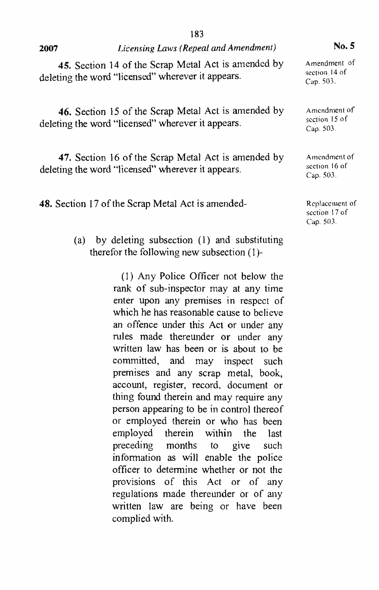|      | 10.J                                  |
|------|---------------------------------------|
| 2007 | Licensing Laws (Repeal and Amendment) |

103

45. Section 14 of the Scrap Metal Act is amended by deleting the word "licensed" wherever it appears.

46. Section 15 of the Scrap Metal Act is amended by deleting the word "licensed" wherever it appears.

47. Section 16 of the Scrap Metal Act is amended by deleting the word "licensed" wherever it appears.

48. Section 17 of the Scrap Metal Act is amended-

(a) by deleting subsection (1) and substituting therefor the following new subsection (l)-

> (l) Any Police Officer not below the rank of sub-inspector may at any time enter upon any premises in respect of which he has reasonable cause to believe an offence under this Act or under any rules made thereunder or under any written law has been or is about to be committed, and may inspect such premises and any scrap metal, book, account, register, record, document or thing found therein and may require any person appearing to be in control thereof or employed therein or who has been employed therein within the last preceding months to give such information as will enable the police officer to determine whether or not the provisions of this Act or of any regulations made thereunder or of any written law are being or have been complied with.

No.5

Amendment of section 14 of Cap. 503.

Amendment of section 15 of Cap. 503.

Amendment of section 16 of Cap. 503.

Replacement of section 17 of Cap. 503.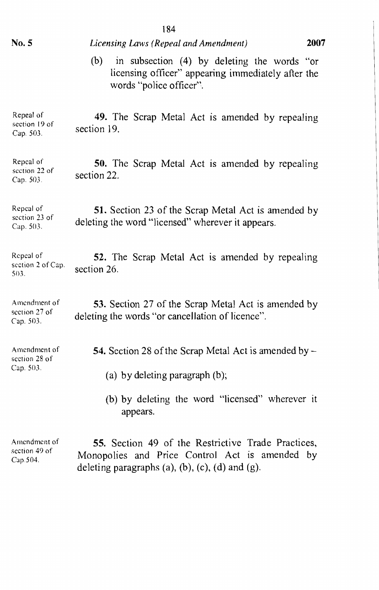|                                            | 184                                                                                                                                                                   |  |  |  |
|--------------------------------------------|-----------------------------------------------------------------------------------------------------------------------------------------------------------------------|--|--|--|
| No. 5                                      | Licensing Laws (Repeal and Amendment)                                                                                                                                 |  |  |  |
|                                            | in subsection (4) by deleting the words "or<br>(b)<br>licensing officer" appearing immediately after the<br>words "police officer".                                   |  |  |  |
| Repeal of<br>section 19 of<br>Cap. 503.    | 49. The Scrap Metal Act is amended by repealing<br>section 19.                                                                                                        |  |  |  |
| Repcal of<br>section 22 of<br>Cap. 503.    | <b>50.</b> The Scrap Metal Act is amended by repealing<br>section 22.                                                                                                 |  |  |  |
| Repeal of<br>section 23 of<br>Cap. 503.    | 51. Section 23 of the Scrap Metal Act is amended by<br>deleting the word "licensed" wherever it appears.                                                              |  |  |  |
| Repeal of<br>section 2 of Cap.<br>503.     | 52. The Scrap Metal Act is amended by repealing<br>section 26.                                                                                                        |  |  |  |
| Amendment of<br>section 27 of<br>Cap. 503. | 53. Section 27 of the Scrap Metal Act is amended by<br>deleting the words "or cancellation of licence".                                                               |  |  |  |
| Amendment of<br>section 28 of<br>Cap. 503. | 54. Section 28 of the Scrap Metal Act is amended by –                                                                                                                 |  |  |  |
|                                            | (a) by deleting paragraph (b);                                                                                                                                        |  |  |  |
|                                            | (b) by deleting the word "licensed" wherever it<br>appears.                                                                                                           |  |  |  |
| Amendment of<br>section 49 of<br>Cap.504.  | 55. Section 49 of the Restrictive Trade Practices,<br>Monopolies and Price Control Act is amended by<br>deleting paragraphs $(a)$ , $(b)$ , $(c)$ , $(d)$ and $(g)$ . |  |  |  |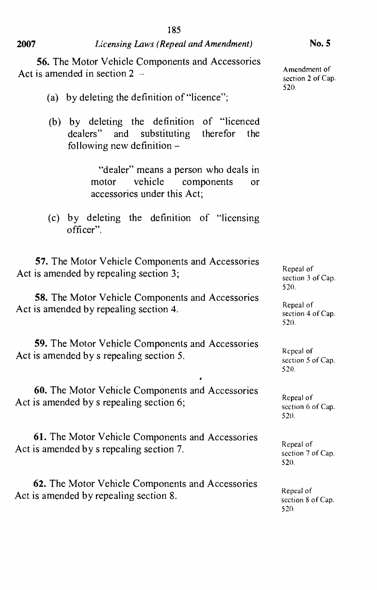### *Licensing Laws (Repeal and Amendment)* **No.5**

**56.** The Motor Vehicle Components and Accessories Act is amended in section  $2 -$ 

- (a) by deleting the definition of "licence";
- (b) by deleting the definition of "licenced dealers" and substituting therefor the following new definition  $-$

"dealer" means a person who deals in<br>notor vehicle components or motor vehicle components or accessories under this Act;

(c) by deleting the definition of "licensing officer".

**57.** The Motor Vehicle Components and Accessories Act is amended by repealing section 3;

**58.** The Motor Vehicle Components and Accessories Act is amended by repealing section 4.

**59.** The Motor Vehicle Components and Accessories Act is amended by s repealing section 5.

**60.** The Motor Vehicle Components and Accessories Act is amended by s repealing section 6;

**61.** The Motor Vehicle Components and Accessories Act is amended by s repealing section 7.

**62.** The Motor Vehicle Components and Accessories Act is amended by repealing section 8.

Amendment of section 2 of Cap. 520.

Repeal of section 3 of Cap. 520.

Repeal of section 4 of Cap. 520.

Repeal of section 5 of Cap. 520.

Repeal of section 6 of Cap. 520.

Repeal of section 7 of Cap. 520.

Repeal of section 8 of Cap. 520.

**2007**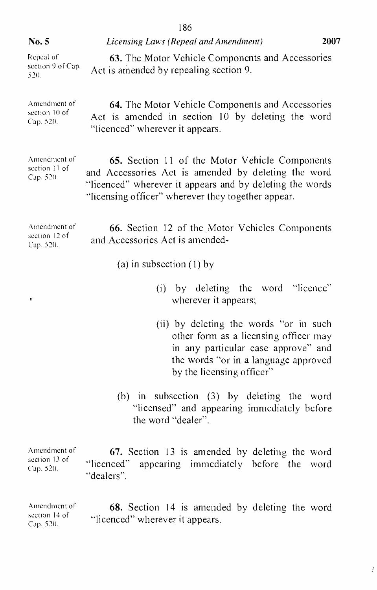| No. 5                                      | 2007<br>Licensing Laws (Repeal and Amendment)                                                                                                                                                                           |  |  |  |  |  |
|--------------------------------------------|-------------------------------------------------------------------------------------------------------------------------------------------------------------------------------------------------------------------------|--|--|--|--|--|
| Repeal of<br>section 9 of Cap.<br>520.     | 63. The Motor Vehicle Components and Accessories<br>Act is amended by repealing section 9.                                                                                                                              |  |  |  |  |  |
| Amendment of<br>section 10 of<br>Cap. 520. | 64. The Motor Vehicle Components and Accessories<br>Act is amended in section 10 by deleting the word<br>"licenced" wherever it appears.                                                                                |  |  |  |  |  |
| Amendment of<br>section 11 of<br>Cap. 520. | 65. Section 11 of the Motor Vehicle Components<br>and Accessories Act is amended by deleting the word<br>"licenced" wherever it appears and by deleting the words<br>"licensing officer" wherever they together appear. |  |  |  |  |  |
| Amendment of<br>section 12 of<br>Cap. 520. | 66. Section 12 of the Motor Vehicles Components<br>and Accessories Act is amended-                                                                                                                                      |  |  |  |  |  |
|                                            | (a) in subsection $(1)$ by                                                                                                                                                                                              |  |  |  |  |  |
| Ţ                                          | (i) by deleting the word "licence"<br>wherever it appears;                                                                                                                                                              |  |  |  |  |  |

(ii) by deleting the words "or in such other form as a licensing officer may in any particular case approve" and the words "or in a language approved by the licensing officer"

 $\boldsymbol{f}$ 

(b) in subsection (3) by deleting the word "licensed" and appearing immediately before the word "dealer".

| Amendment of                  |                                                  | 67. Section 13 is amended by deleting the word |  |  |
|-------------------------------|--------------------------------------------------|------------------------------------------------|--|--|
| section 13 of<br>Cap. $520$ . | "licenced" appearing immediately before the word |                                                |  |  |
|                               | "dealers".                                       |                                                |  |  |

Amendment of section 14 of Cap. 520. 68. Section 14 is amended by deleting the word "licenced" wherever it appears.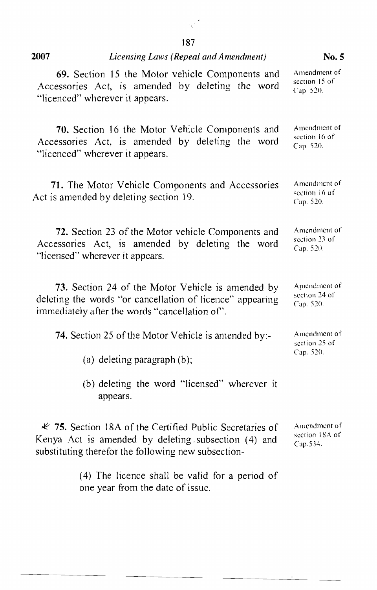#### 2007

# *Licensing Laws (Repeal and Amendment)* No.5

| 69. Section 15 the Motor vehicle Components and                                            | Amendment of                               |
|--------------------------------------------------------------------------------------------|--------------------------------------------|
| Accessories Act, is amended by deleting the word                                           | section 15 of                              |
| "licenced" wherever it appears.                                                            | Cap. 520.                                  |
| 70. Section 16 the Motor Vehicle Components and                                            | Amendment of                               |
| Accessories Act, is amended by deleting the word                                           | section 16 of                              |
| "licenced" wherever it appears.                                                            | Cap.520.                                   |
| 71. The Motor Vehicle Components and Accessories<br>Act is amended by deleting section 19. | Amendment of<br>section 16 of<br>Cap. 520. |
| 72. Section 23 of the Motor vehicle Components and                                         | Amendment of                               |
| Accessories Act, is amended by deleting the word                                           | section 23 of                              |
| "licensed" wherever it appears.                                                            | Cap. 520.                                  |
| 73. Section 24 of the Motor Vehicle is amended by                                          | Amendment of                               |
| deleting the words "or cancellation of licence" appearing                                  | section 24 of                              |
| immediately after the words "cancellation of".                                             | Cap. 520.                                  |
| 74. Section 25 of the Motor Vehicle is amended by:-<br>(a) deleting paragraph $(b)$ ;      | Amendment of<br>section 25 of<br>Cap. 520. |
| (b) deleting the word "licensed" wherever it<br>appears.                                   |                                            |
| $\overline{\mathscr{K}}$ 75. Section 18A of the Certified Public Secretaries of            | Amendment of                               |
| Kenya Act is amended by deleting subsection (4) and                                        | section 18A of                             |
| substituting therefor the following new subsection-                                        | CaD.534.                                   |
| (4) The licence shall be valid for a period of<br>one year from the date of issue.         |                                            |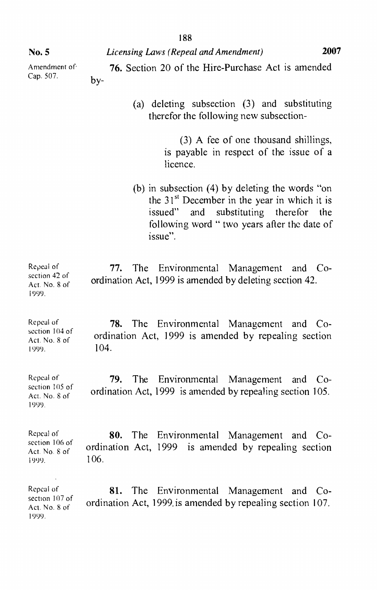*Licensing Laws (Repeal and Amendment)* **2007**

Amendment of Cap. 507.

- 76. Section 20 of the Hire-Purchase Act is amended  $b$  $v$ -
	- (a) deleting subsection (3) and substituting therefor the following new subsection-

(3) A fee of one thousand shillings, is payable in respect of the issue of a licence.

(b) in subsection (4) by deleting the words "on the  $31<sup>st</sup>$  December in the year in which it is issued" and substituting therefor the following word " two years after the date of issue".

Repeal of section 42 of Act. No.8 of  $1000$ . 77. The Environmental Management and Coordination Act, 1999 is amended by deleting section 42.

Repeal of section 104 of Act. No.8 of 78. The Environmental Management and Coordination Act, 1999 is amended by repealing section 104.

Repeal of section 105 of Act. No.8 of 79. The Environmental Management and Coordination Act, 1999 is amended by repealing section 105.

Repeal of section 106 of Act. No.8 of  $1900.$ 80. The Environmental Management and Coordination Act, 1999 is amended by repealing section 106.

Repeal of section 107 of Act. No.8 of 1999. 81. The Environmental Management and Coordination Act, 1999. is amended by repealing section 107.

No.5

[l)(0).

It)l)l).